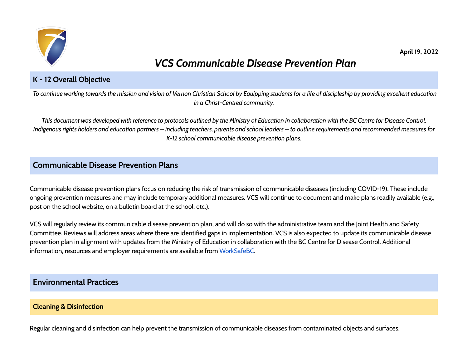

# *VCS Communicable Disease Prevention Plan*

# **K - 12 Overall Objective**

To continue working towards the mission and vision of Vernon Christian School by Equipping students for a life of discipleship by providing excellent education *in a Christ-Centred community.*

This document was developed with reference to protocols outlined by the Ministry of Education in collaboration with the BC Centre for Disease Control, Indigenous rights holders and education partners – including teachers, parents and school leaders – to outline requirements and recommended measures for *K-12 school communicable disease prevention plans.*

# **Communicable Disease Prevention Plans**

Communicable disease prevention plans focus on reducing the risk of transmission of communicable diseases (including COVID-19). These include ongoing prevention measures and may include temporary additional measures. VCS will continue to document and make plans readily available (e.g., post on the school website, on a bulletin board at the school, etc.).

VCS will regularly review its communicable disease prevention plan, and will do so with the administrative team and the Joint Health and Safety Committee. Reviews will address areas where there are identified gaps in implementation. VCS is also expected to update its communicable disease prevention plan in alignment with updates from the Ministry of Education in collaboration with the BC Centre for Disease Control. Additional information, resources and employer requirements are available from [WorkSafeBC.](https://www.worksafebc.com/en/covid-19/covid-19-prevention)

# **Environmental Practices**

# **Cleaning & Disinfection**

Regular cleaning and disinfection can help prevent the transmission of communicable diseases from contaminated objects and surfaces.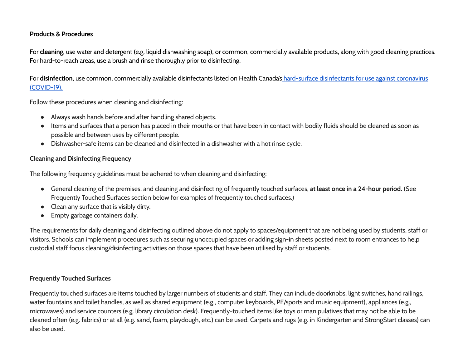#### **Products & Procedures**

For **cleaning**, use water and detergent (e.g. liquid dishwashing soap), or common, commercially available products, along with good cleaning practices. For hard-to-reach areas, use a brush and rinse thoroughly prior to disinfecting.

For **disinfection**, use common, commercially available disinfectants listed on Health Canada's hard-surface [disinfectants](https://www.canada.ca/en/health-canada/services/drugs-health-products/disinfectants/covid-19/list.html) for use against coronavirus [\(COVID-19\).](https://www.canada.ca/en/health-canada/services/drugs-health-products/disinfectants/covid-19/list.html)

Follow these procedures when cleaning and disinfecting:

- Always wash hands before and after handling shared objects.
- Items and surfaces that a person has placed in their mouths or that have been in contact with bodily fluids should be cleaned as soon as possible and between uses by different people.
- Dishwasher-safe items can be cleaned and disinfected in a dishwasher with a hot rinse cycle.

# **Cleaning and Disinfecting Frequency**

The following frequency guidelines must be adhered to when cleaning and disinfecting:

- General cleaning of the premises, and cleaning and disinfecting of frequently touched surfaces, **at least once in a 24-hour period.** (See Frequently Touched Surfaces section below for examples of frequently touched surfaces.)
- Clean any surface that is visibly dirty.
- Empty garbage containers daily.

The requirements for daily cleaning and disinfecting outlined above do not apply to spaces/equipment that are not being used by students, staff or visitors. Schools can implement procedures such as securing unoccupied spaces or adding sign-in sheets posted next to room entrances to help custodial staff focus cleaning/disinfecting activities on those spaces that have been utilised by staff or students.

# **Frequently Touched Surfaces**

Frequently touched surfaces are items touched by larger numbers of students and staff. They can include doorknobs, light switches, hand railings, water fountains and toilet handles, as well as shared equipment (e.g., computer keyboards, PE/sports and music equipment), appliances (e.g., microwaves) and service counters (e.g. library circulation desk). Frequently-touched items like toys or manipulatives that may not be able to be cleaned often (e.g. fabrics) or at all (e.g. sand, foam, playdough, etc.) can be used. Carpets and rugs (e.g. in Kindergarten and StrongStart classes) can also be used.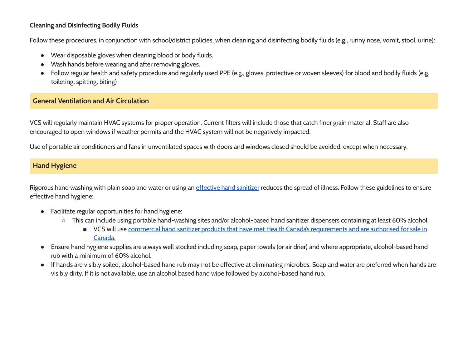# **Cleaning and Disinfecting Bodily Fluids**

Follow these procedures, in conjunction with school/district policies, when cleaning and disinfecting bodily fluids (e.g., runny nose, vomit, stool, urine):

- Wear disposable gloves when cleaning blood or body fluids.
- Wash hands before wearing and after removing gloves.
- Follow regular health and safety procedure and regularly used PPE (e.g., gloves, protective or woven sleeves) for blood and bodily fluids (e.g. toileting, spitting, biting)

# **General Ventilation and Air Circulation**

VCS will regularly maintain HVAC systems for proper operation. Current filters will include those that catch finer grain material. Staff are also encouraged to open windows if weather permits and the HVAC system will not be negatively impacted.

Use of portable air conditioners and fans in unventilated spaces with doors and windows closed should be avoided, except when necessary.

# **Hand Hygiene**

Rigorous hand washing with plain soap and water or using an *[effective](http://www.bccdc.ca/health-info/diseases-conditions/covid-19/prevention-risks/hand-washing) hand sanitizer* reduces the spread of illness. Follow these guidelines to ensure effective hand hygiene:

- Facilitate regular opportunities for hand hygiene:
	- This can include using portable hand-washing sites and/or alcohol-based hand sanitizer dispensers containing at least 60% alcohol.
		- VCS will use commercial hand sanitizer products that have met Health Canada's [requirements](https://www.canada.ca/en/health-canada/services/drugs-health-products/disinfectants/covid-19/hand-sanitizer.html) and are authorised for sale in [Canada.](https://www.canada.ca/en/health-canada/services/drugs-health-products/disinfectants/covid-19/hand-sanitizer.html)
- Ensure hand hygiene supplies are always well stocked including soap, paper towels (or air drier) and where appropriate, alcohol-based hand rub with a minimum of 60% alcohol.
- If hands are visibly soiled, alcohol-based hand rub may not be effective at eliminating microbes. Soap and water are preferred when hands are visibly dirty. If it is not available, use an alcohol based hand wipe followed by alcohol-based hand rub.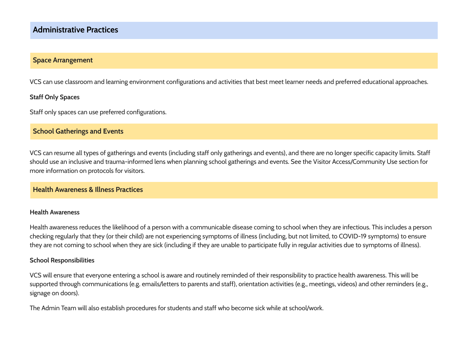# **Administrative Practices**

# **Space Arrangement**

VCS can use classroom and learning environment configurations and activities that best meet learner needs and preferred educational approaches.

#### **Staff Only Spaces**

Staff only spaces can use preferred configurations.

#### **School Gatherings and Events**

VCS can resume all types of gatherings and events (including staff only gatherings and events), and there are no longer specific capacity limits. Staff should use an inclusive and trauma-informed lens when planning school gatherings and events. See the Visitor Access/Community Use section for more information on protocols for visitors.

# **Health Awareness & Illness Practices**

#### **Health Awareness**

Health awareness reduces the likelihood of a person with a communicable disease coming to school when they are infectious. This includes a person checking regularly that they (or their child) are not experiencing symptoms of illness (including, but not limited, to COVID-19 symptoms) to ensure they are not coming to school when they are sick (including if they are unable to participate fully in regular activities due to symptoms of illness).

#### **School Responsibilities**

VCS will ensure that everyone entering a school is aware and routinely reminded of their responsibility to practice health awareness. This will be supported through communications (e.g. emails/letters to parents and staff), orientation activities (e.g., meetings, videos) and other reminders (e.g., signage on doors).

The Admin Team will also establish procedures for students and staff who become sick while at school/work.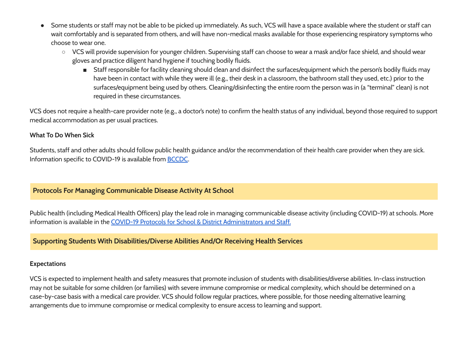- Some students or staff may not be able to be picked up immediately. As such, VCS will have a space available where the student or staff can wait comfortably and is separated from others, and will have non-medical masks available for those experiencing respiratory symptoms who choose to wear one.
	- VCS will provide supervision for younger children. Supervising staff can choose to wear a mask and/or face shield, and should wear gloves and practice diligent hand hygiene if touching bodily fluids.
		- Staff responsible for facility cleaning should clean and disinfect the surfaces/equipment which the person's bodily fluids may have been in contact with while they were ill (e.g., their desk in a classroom, the bathroom stall they used, etc.) prior to the surfaces/equipment being used by others. Cleaning/disinfecting the entire room the person was in (a "terminal" clean) is not required in these circumstances.

VCS does not require a health-care provider note (e.g., a doctor's note) to confirm the health status of any individual, beyond those required to support medical accommodation as per usual practices.

# **What To Do When Sick**

Students, staff and other adults should follow public health guidance and/or the recommendation of their health care provider when they are sick. Information specific to COVID-19 is available from [BCCDC](http://www.bccdc.ca/health-info/diseases-conditions/covid-19).

# **Protocols For Managing Communicable Disease Activity At School**

Public health (including Medical Health Officers) play the lead role in managing communicable disease activity (including COVID-19) at schools. More information is available in the COVID-19 Protocols for School & District [Administrators](https://www2.gov.bc.ca/assets/gov/education/administration/kindergarten-to-grade-12/safe-caring-orderly/covid-19-protocols-for-administrators.pdf) and Staff.

# **Supporting Students With Disabilities/Diverse Abilities And/Or Receiving Health Services**

#### **Expectations**

VCS is expected to implement health and safety measures that promote inclusion of students with disabilities/diverse abilities. In-class instruction may not be suitable for some children (or families) with severe immune compromise or medical complexity, which should be determined on a case-by-case basis with a medical care provider. VCS should follow regular practices, where possible, for those needing alternative learning arrangements due to immune compromise or medical complexity to ensure access to learning and support.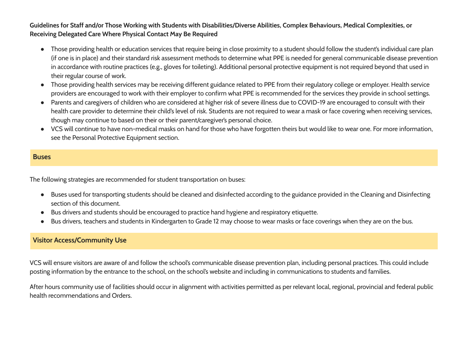# Guidelines for Staff and/or Those Working with Students with Disabilities/Diverse Abilities, Complex Behaviours, Medical Complexities, or **Receiving Delegated Care Where Physical Contact May Be Required**

- Those providing health or education services that require being in close proximity to a student should follow the student's individual care plan (if one is in place) and their standard risk assessment methods to determine what PPE is needed for general communicable disease prevention in accordance with routine practices (e.g., gloves for toileting). Additional personal protective equipment is not required beyond that used in their regular course of work.
- Those providing health services may be receiving different guidance related to PPE from their regulatory college or employer. Health service providers are encouraged to work with their employer to confirm what PPE is recommended for the services they provide in school settings.
- Parents and caregivers of children who are considered at higher risk of severe illness due to COVID-19 are encouraged to consult with their health care provider to determine their child's level of risk. Students are not required to wear a mask or face covering when receiving services, though may continue to based on their or their parent/caregiver's personal choice.
- VCS will continue to have non-medical masks on hand for those who have forgotten theirs but would like to wear one. For more information, see the Personal Protective Equipment section.

# **Buses**

The following strategies are recommended for student transportation on buses:

- Buses used for transporting students should be cleaned and disinfected according to the guidance provided in the Cleaning and Disinfecting section of this document.
- Bus drivers and students should be encouraged to practice hand hygiene and respiratory etiquette.
- Bus drivers, teachers and students in Kindergarten to Grade 12 may choose to wear masks or face coverings when they are on the bus.

# **Visitor Access/Community Use**

VCS will ensure visitors are aware of and follow the school's communicable disease prevention plan, including personal practices. This could include posting information by the entrance to the school, on the school's website and including in communications to students and families.

After hours community use of facilities should occur in alignment with activities permitted as per relevant local, regional, provincial and federal public health recommendations and Orders.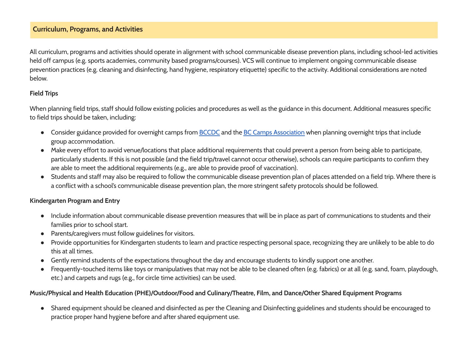# **Curriculum, Programs, and Activities**

All curriculum, programs and activities should operate in alignment with school communicable disease prevention plans, including school-led activities held off campus (e.g. sports academies, community based programs/courses). VCS will continue to implement ongoing communicable disease prevention practices (e.g. cleaning and disinfecting, hand hygiene, respiratory etiquette) specific to the activity. Additional considerations are noted below.

#### **Field Trips**

When planning field trips, staff should follow existing policies and procedures as well as the guidance in this document. Additional measures specific to field trips should be taken, including:

- Consider guidance provided for overnight camps from **[BCCDC](http://www.bccdc.ca/health-info/diseases-conditions/covid-19/childcare-schools/camps)** and the **BC Camps [Association](http://bccamping.org/)** when planning overnight trips that include group accommodation.
- Make every effort to avoid venue/locations that place additional requirements that could prevent a person from being able to participate, particularly students. If this is not possible (and the field trip/travel cannot occur otherwise), schools can require participants to confirm they are able to meet the additional requirements (e.g., are able to provide proof of vaccination).
- Students and staff may also be required to follow the communicable disease prevention plan of places attended on a field trip. Where there is a conflict with a school's communicable disease prevention plan, the more stringent safety protocols should be followed.

#### **Kindergarten Program and Entry**

- Include information about communicable disease prevention measures that will be in place as part of communications to students and their families prior to school start.
- Parents/caregivers must follow guidelines for visitors.
- Provide opportunities for Kindergarten students to learn and practice respecting personal space, recognizing they are unlikely to be able to do this at all times.
- Gently remind students of the expectations throughout the day and encourage students to kindly support one another.
- Frequently-touched items like toys or manipulatives that may not be able to be cleaned often (e.g. fabrics) or at all (e.g. sand, foam, playdough, etc.) and carpets and rugs (e.g., for circle time activities) can be used.

# **Music/Physical and Health Education (PHE)/Outdoor/Food and Culinary/Theatre, Film, and Dance/Other Shared Equipment Programs**

● Shared equipment should be cleaned and disinfected as per the Cleaning and Disinfecting guidelines and students should be encouraged to practice proper hand hygiene before and after shared equipment use.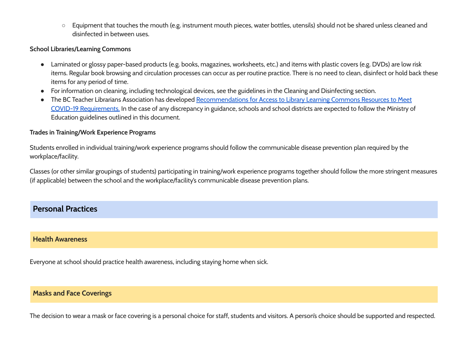○ Equipment that touches the mouth (e.g. instrument mouth pieces, water bottles, utensils) should not be shared unless cleaned and disinfected in between uses.

#### **School Libraries/Learning Commons**

- Laminated or glossy paper-based products (e.g. books, magazines, worksheets, etc.) and items with plastic covers (e.g. DVDs) are low risk items. Regular book browsing and circulation processes can occur as per routine practice. There is no need to clean, disinfect or hold back these items for any period of time.
- For information on cleaning, including technological devices, see the guidelines in the Cleaning and Disinfecting section.
- The BC Teacher Librarians Association has developed [Recommendations](https://bctla.ca/covid-19-t-l-and-library-health-and-safety/) for Access to Library Learning Commons Resources to Meet COVID-19 [Requirements.](https://bctla.ca/covid-19-t-l-and-library-health-and-safety/) In the case of any discrepancy in guidance, schools and school districts are expected to follow the Ministry of Education guidelines outlined in this document.

#### **Trades in Training/Work Experience Programs**

Students enrolled in individual training/work experience programs should follow the communicable disease prevention plan required by the workplace/facility.

Classes (or other similar groupings of students) participating in training/work experience programs together should follow the more stringent measures (if applicable) between the school and the workplace/facility's communicable disease prevention plans.

# **Personal Practices**

# **Health Awareness**

Everyone at school should practice health awareness, including staying home when sick.

# **Masks and Face Coverings**

The decision to wear a mask or face covering is a personal choice for staff, students and visitors. A person's choice should be supported and respected.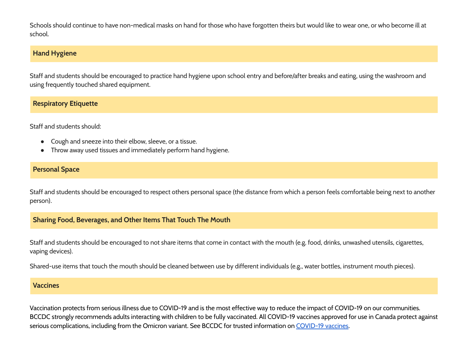Schools should continue to have non-medical masks on hand for those who have forgotten theirs but would like to wear one, or who become ill at school.

# **Hand Hygiene**

Staff and students should be encouraged to practice hand hygiene upon school entry and before/after breaks and eating, using the washroom and using frequently touched shared equipment.

# **Respiratory Etiquette**

Staff and students should:

- Cough and sneeze into their elbow, sleeve, or a tissue.
- Throw away used tissues and immediately perform hand hygiene.

# **Personal Space**

Staff and students should be encouraged to respect others personal space (the distance from which a person feels comfortable being next to another person).

# **Sharing Food, Beverages, and Other Items That Touch The Mouth**

Staff and students should be encouraged to not share items that come in contact with the mouth (e.g. food, drinks, unwashed utensils, cigarettes, vaping devices).

Shared-use items that touch the mouth should be cleaned between use by different individuals (e.g., water bottles, instrument mouth pieces).

#### **Vaccines**

Vaccination protects from serious illness due to COVID-19 and is the most effective way to reduce the impact of COVID-19 on our communities. BCCDC strongly recommends adults interacting with children to be fully vaccinated. All COVID-19 vaccines approved for use in Canada protect against serious complications, including from the Omicron variant. See BCCDC for trusted information on [COVID-19](http://www.bccdc.ca/health-info/diseases-conditions/covid-19/covid-19-vaccine) vaccines.